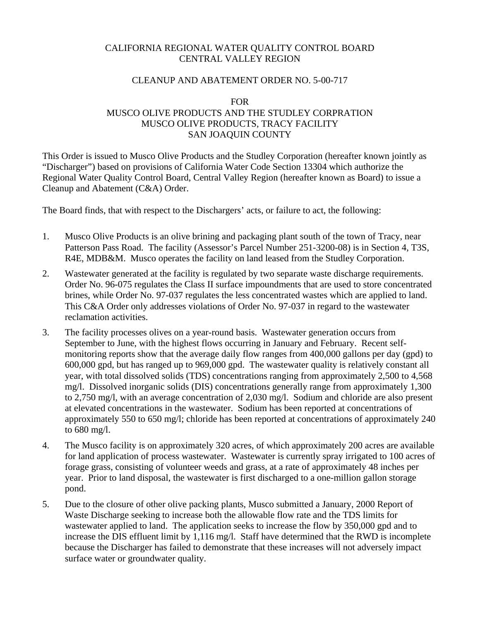### CALIFORNIA REGIONAL WATER QUALITY CONTROL BOARD CENTRAL VALLEY REGION

### CLEANUP AND ABATEMENT ORDER NO. 5-00-717

#### FOR

## MUSCO OLIVE PRODUCTS AND THE STUDLEY CORPRATION MUSCO OLIVE PRODUCTS, TRACY FACILITY SAN JOAQUIN COUNTY

This Order is issued to Musco Olive Products and the Studley Corporation (hereafter known jointly as "Discharger") based on provisions of California Water Code Section 13304 which authorize the Regional Water Quality Control Board, Central Valley Region (hereafter known as Board) to issue a Cleanup and Abatement (C&A) Order.

The Board finds, that with respect to the Dischargers' acts, or failure to act, the following:

- 1. Musco Olive Products is an olive brining and packaging plant south of the town of Tracy, near Patterson Pass Road. The facility (Assessor's Parcel Number 251-3200-08) is in Section 4, T3S, R4E, MDB&M. Musco operates the facility on land leased from the Studley Corporation.
- 2. Wastewater generated at the facility is regulated by two separate waste discharge requirements. Order No. 96-075 regulates the Class II surface impoundments that are used to store concentrated brines, while Order No. 97-037 regulates the less concentrated wastes which are applied to land. This C&A Order only addresses violations of Order No. 97-037 in regard to the wastewater reclamation activities.
- 3. The facility processes olives on a year-round basis. Wastewater generation occurs from September to June, with the highest flows occurring in January and February. Recent selfmonitoring reports show that the average daily flow ranges from 400,000 gallons per day (gpd) to 600,000 gpd, but has ranged up to 969,000 gpd. The wastewater quality is relatively constant all year, with total dissolved solids (TDS) concentrations ranging from approximately 2,500 to 4,568 mg/l. Dissolved inorganic solids (DIS) concentrations generally range from approximately 1,300 to 2,750 mg/l, with an average concentration of 2,030 mg/l. Sodium and chloride are also present at elevated concentrations in the wastewater. Sodium has been reported at concentrations of approximately 550 to 650 mg/l; chloride has been reported at concentrations of approximately 240 to 680 mg/l.
- 4. The Musco facility is on approximately 320 acres, of which approximately 200 acres are available for land application of process wastewater. Wastewater is currently spray irrigated to 100 acres of forage grass, consisting of volunteer weeds and grass, at a rate of approximately 48 inches per year. Prior to land disposal, the wastewater is first discharged to a one-million gallon storage pond.
- 5. Due to the closure of other olive packing plants, Musco submitted a January, 2000 Report of Waste Discharge seeking to increase both the allowable flow rate and the TDS limits for wastewater applied to land. The application seeks to increase the flow by 350,000 gpd and to increase the DIS effluent limit by 1,116 mg/l. Staff have determined that the RWD is incomplete because the Discharger has failed to demonstrate that these increases will not adversely impact surface water or groundwater quality.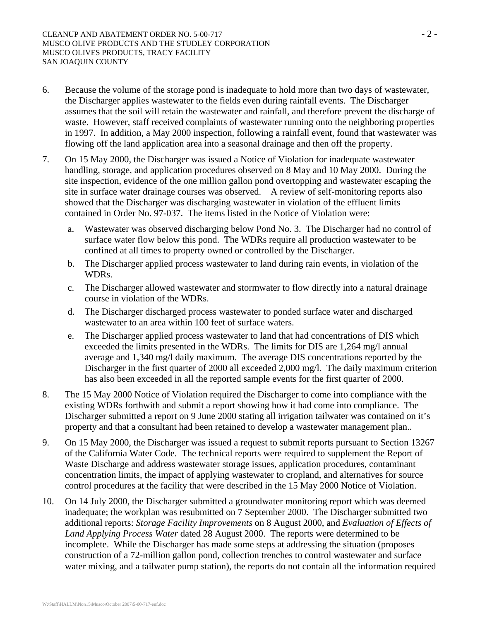- 6. Because the volume of the storage pond is inadequate to hold more than two days of wastewater, the Discharger applies wastewater to the fields even during rainfall events. The Discharger assumes that the soil will retain the wastewater and rainfall, and therefore prevent the discharge of waste. However, staff received complaints of wastewater running onto the neighboring properties in 1997. In addition, a May 2000 inspection, following a rainfall event, found that wastewater was flowing off the land application area into a seasonal drainage and then off the property.
- 7. On 15 May 2000, the Discharger was issued a Notice of Violation for inadequate wastewater handling, storage, and application procedures observed on 8 May and 10 May 2000. During the site inspection, evidence of the one million gallon pond overtopping and wastewater escaping the site in surface water drainage courses was observed. A review of self-monitoring reports also showed that the Discharger was discharging wastewater in violation of the effluent limits contained in Order No. 97-037. The items listed in the Notice of Violation were:
	- a. Wastewater was observed discharging below Pond No. 3. The Discharger had no control of surface water flow below this pond. The WDRs require all production wastewater to be confined at all times to property owned or controlled by the Discharger.
	- b. The Discharger applied process wastewater to land during rain events, in violation of the WDRs.
	- c. The Discharger allowed wastewater and stormwater to flow directly into a natural drainage course in violation of the WDRs.
	- d. The Discharger discharged process wastewater to ponded surface water and discharged wastewater to an area within 100 feet of surface waters.
	- e. The Discharger applied process wastewater to land that had concentrations of DIS which exceeded the limits presented in the WDRs. The limits for DIS are 1,264 mg/l annual average and 1,340 mg/l daily maximum. The average DIS concentrations reported by the Discharger in the first quarter of 2000 all exceeded 2,000 mg/l. The daily maximum criterion has also been exceeded in all the reported sample events for the first quarter of 2000.
- 8. The 15 May 2000 Notice of Violation required the Discharger to come into compliance with the existing WDRs forthwith and submit a report showing how it had come into compliance. The Discharger submitted a report on 9 June 2000 stating all irrigation tailwater was contained on it's property and that a consultant had been retained to develop a wastewater management plan..
- 9. On 15 May 2000, the Discharger was issued a request to submit reports pursuant to Section 13267 of the California Water Code. The technical reports were required to supplement the Report of Waste Discharge and address wastewater storage issues, application procedures, contaminant concentration limits, the impact of applying wastewater to cropland, and alternatives for source control procedures at the facility that were described in the 15 May 2000 Notice of Violation.
- 10. On 14 July 2000, the Discharger submitted a groundwater monitoring report which was deemed inadequate; the workplan was resubmitted on 7 September 2000. The Discharger submitted two additional reports: *Storage Facility Improvements* on 8 August 2000, and *Evaluation of Effects of Land Applying Process Water* dated 28 August 2000. The reports were determined to be incomplete. While the Discharger has made some steps at addressing the situation (proposes construction of a 72-million gallon pond, collection trenches to control wastewater and surface water mixing, and a tailwater pump station), the reports do not contain all the information required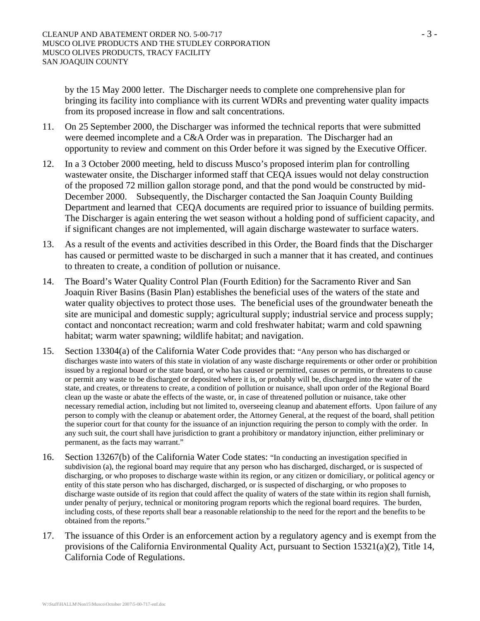by the 15 May 2000 letter. The Discharger needs to complete one comprehensive plan for bringing its facility into compliance with its current WDRs and preventing water quality impacts from its proposed increase in flow and salt concentrations.

- 11. On 25 September 2000, the Discharger was informed the technical reports that were submitted were deemed incomplete and a C&A Order was in preparation. The Discharger had an opportunity to review and comment on this Order before it was signed by the Executive Officer.
- 12. In a 3 October 2000 meeting, held to discuss Musco's proposed interim plan for controlling wastewater onsite, the Discharger informed staff that CEQA issues would not delay construction of the proposed 72 million gallon storage pond, and that the pond would be constructed by mid-December 2000. Subsequently, the Discharger contacted the San Joaquin County Building Department and learned that CEQA documents are required prior to issuance of building permits. The Discharger is again entering the wet season without a holding pond of sufficient capacity, and if significant changes are not implemented, will again discharge wastewater to surface waters.
- 13. As a result of the events and activities described in this Order, the Board finds that the Discharger has caused or permitted waste to be discharged in such a manner that it has created, and continues to threaten to create, a condition of pollution or nuisance.
- 14. The Board's Water Quality Control Plan (Fourth Edition) for the Sacramento River and San Joaquin River Basins (Basin Plan) establishes the beneficial uses of the waters of the state and water quality objectives to protect those uses. The beneficial uses of the groundwater beneath the site are municipal and domestic supply; agricultural supply; industrial service and process supply; contact and noncontact recreation; warm and cold freshwater habitat; warm and cold spawning habitat; warm water spawning; wildlife habitat; and navigation.
- 15. Section 13304(a) of the California Water Code provides that: "Any person who has discharged or discharges waste into waters of this state in violation of any waste discharge requirements or other order or prohibition issued by a regional board or the state board, or who has caused or permitted, causes or permits, or threatens to cause or permit any waste to be discharged or deposited where it is, or probably will be, discharged into the water of the state, and creates, or threatens to create, a condition of pollution or nuisance, shall upon order of the Regional Board clean up the waste or abate the effects of the waste, or, in case of threatened pollution or nuisance, take other necessary remedial action, including but not limited to, overseeing cleanup and abatement efforts. Upon failure of any person to comply with the cleanup or abatement order, the Attorney General, at the request of the board, shall petition the superior court for that county for the issuance of an injunction requiring the person to comply with the order. In any such suit, the court shall have jurisdiction to grant a prohibitory or mandatory injunction, either preliminary or permanent, as the facts may warrant."
- 16. Section 13267(b) of the California Water Code states: "In conducting an investigation specified in subdivision (a), the regional board may require that any person who has discharged, discharged, or is suspected of discharging, or who proposes to discharge waste within its region, or any citizen or domiciliary, or political agency or entity of this state person who has discharged, discharged, or is suspected of discharging, or who proposes to discharge waste outside of its region that could affect the quality of waters of the state within its region shall furnish, under penalty of perjury, technical or monitoring program reports which the regional board requires. The burden, including costs, of these reports shall bear a reasonable relationship to the need for the report and the benefits to be obtained from the reports."
- 17. The issuance of this Order is an enforcement action by a regulatory agency and is exempt from the provisions of the California Environmental Quality Act, pursuant to Section 15321(a)(2), Title 14, California Code of Regulations.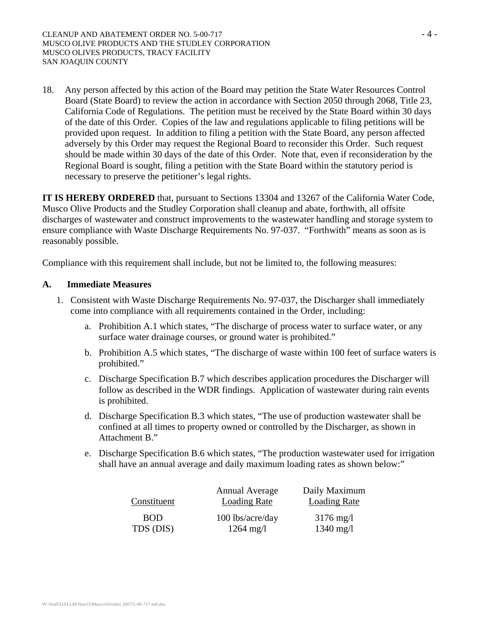18. Any person affected by this action of the Board may petition the State Water Resources Control Board (State Board) to review the action in accordance with Section 2050 through 2068, Title 23, California Code of Regulations. The petition must be received by the State Board within 30 days of the date of this Order. Copies of the law and regulations applicable to filing petitions will be provided upon request. In addition to filing a petition with the State Board, any person affected adversely by this Order may request the Regional Board to reconsider this Order. Such request should be made within 30 days of the date of this Order. Note that, even if reconsideration by the Regional Board is sought, filing a petition with the State Board within the statutory period is necessary to preserve the petitioner's legal rights.

**IT IS HEREBY ORDERED** that, pursuant to Sections 13304 and 13267 of the California Water Code, Musco Olive Products and the Studley Corporation shall cleanup and abate, forthwith, all offsite discharges of wastewater and construct improvements to the wastewater handling and storage system to ensure compliance with Waste Discharge Requirements No. 97-037. "Forthwith" means as soon as is reasonably possible.

Compliance with this requirement shall include, but not be limited to, the following measures:

#### **A. Immediate Measures**

- 1. Consistent with Waste Discharge Requirements No. 97-037, the Discharger shall immediately come into compliance with all requirements contained in the Order, including:
	- a. Prohibition A.1 which states, "The discharge of process water to surface water, or any surface water drainage courses, or ground water is prohibited."
	- b. Prohibition A.5 which states, "The discharge of waste within 100 feet of surface waters is prohibited."
	- c. Discharge Specification B.7 which describes application procedures the Discharger will follow as described in the WDR findings. Application of wastewater during rain events is prohibited.
	- d. Discharge Specification B.3 which states, "The use of production wastewater shall be confined at all times to property owned or controlled by the Discharger, as shown in Attachment B."
	- e. Discharge Specification B.6 which states, "The production wastewater used for irrigation shall have an annual average and daily maximum loading rates as shown below:"

| Constituent | <b>Annual Average</b><br><b>Loading Rate</b> | Daily Maximum<br><b>Loading Rate</b> |
|-------------|----------------------------------------------|--------------------------------------|
| <b>BOD</b>  | 100 lbs/acre/day                             | $3176 \text{ mg}/1$                  |
| TDS (DIS)   | $1264 \text{ mg}/1$                          | $1340 \text{ mg}/1$                  |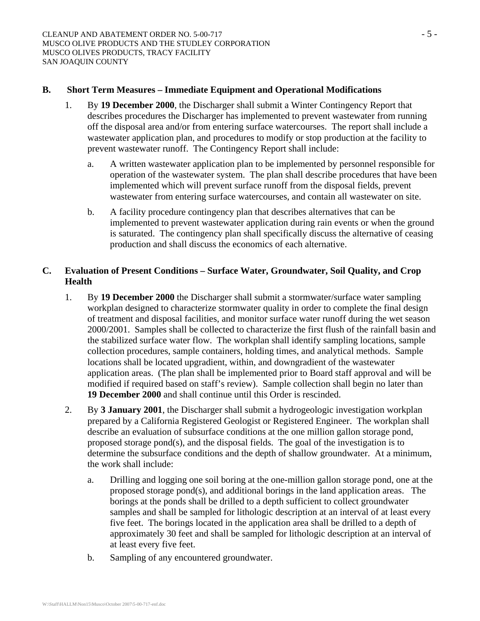#### **B. Short Term Measures – Immediate Equipment and Operational Modifications**

- 1. By **19 December 2000**, the Discharger shall submit a Winter Contingency Report that describes procedures the Discharger has implemented to prevent wastewater from running off the disposal area and/or from entering surface watercourses. The report shall include a wastewater application plan, and procedures to modify or stop production at the facility to prevent wastewater runoff. The Contingency Report shall include:
	- a. A written wastewater application plan to be implemented by personnel responsible for operation of the wastewater system. The plan shall describe procedures that have been implemented which will prevent surface runoff from the disposal fields, prevent wastewater from entering surface watercourses, and contain all wastewater on site.
	- b. A facility procedure contingency plan that describes alternatives that can be implemented to prevent wastewater application during rain events or when the ground is saturated. The contingency plan shall specifically discuss the alternative of ceasing production and shall discuss the economics of each alternative.

### **C. Evaluation of Present Conditions – Surface Water, Groundwater, Soil Quality, and Crop Health**

- 1. By **19 December 2000** the Discharger shall submit a stormwater/surface water sampling workplan designed to characterize stormwater quality in order to complete the final design of treatment and disposal facilities, and monitor surface water runoff during the wet season 2000/2001. Samples shall be collected to characterize the first flush of the rainfall basin and the stabilized surface water flow. The workplan shall identify sampling locations, sample collection procedures, sample containers, holding times, and analytical methods. Sample locations shall be located upgradient, within, and downgradient of the wastewater application areas. (The plan shall be implemented prior to Board staff approval and will be modified if required based on staff's review). Sample collection shall begin no later than **19 December 2000** and shall continue until this Order is rescinded.
- 2. By **3 January 2001**, the Discharger shall submit a hydrogeologic investigation workplan prepared by a California Registered Geologist or Registered Engineer. The workplan shall describe an evaluation of subsurface conditions at the one million gallon storage pond, proposed storage pond(s), and the disposal fields. The goal of the investigation is to determine the subsurface conditions and the depth of shallow groundwater. At a minimum, the work shall include:
	- a. Drilling and logging one soil boring at the one-million gallon storage pond, one at the proposed storage pond(s), and additional borings in the land application areas. The borings at the ponds shall be drilled to a depth sufficient to collect groundwater samples and shall be sampled for lithologic description at an interval of at least every five feet. The borings located in the application area shall be drilled to a depth of approximately 30 feet and shall be sampled for lithologic description at an interval of at least every five feet.
	- b. Sampling of any encountered groundwater.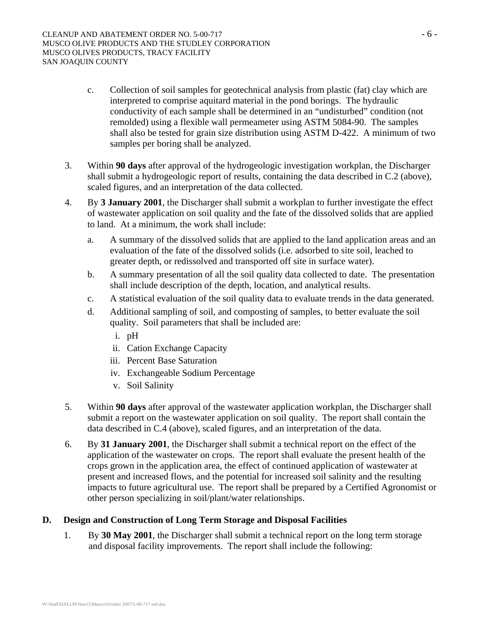- c. Collection of soil samples for geotechnical analysis from plastic (fat) clay which are interpreted to comprise aquitard material in the pond borings. The hydraulic conductivity of each sample shall be determined in an "undisturbed" condition (not remolded) using a flexible wall permeameter using ASTM 5084-90. The samples shall also be tested for grain size distribution using ASTM D-422. A minimum of two samples per boring shall be analyzed.
- 3. Within **90 days** after approval of the hydrogeologic investigation workplan, the Discharger shall submit a hydrogeologic report of results, containing the data described in C.2 (above), scaled figures, and an interpretation of the data collected.
- 4. By **3 January 2001**, the Discharger shall submit a workplan to further investigate the effect of wastewater application on soil quality and the fate of the dissolved solids that are applied to land. At a minimum, the work shall include:
	- a. A summary of the dissolved solids that are applied to the land application areas and an evaluation of the fate of the dissolved solids (i.e. adsorbed to site soil, leached to greater depth, or redissolved and transported off site in surface water).
	- b. A summary presentation of all the soil quality data collected to date. The presentation shall include description of the depth, location, and analytical results.
	- c. A statistical evaluation of the soil quality data to evaluate trends in the data generated.
	- d. Additional sampling of soil, and composting of samples, to better evaluate the soil quality. Soil parameters that shall be included are:
		- i. pH
		- ii. Cation Exchange Capacity
		- iii. Percent Base Saturation
		- iv. Exchangeable Sodium Percentage
		- v. Soil Salinity
- 5. Within **90 days** after approval of the wastewater application workplan, the Discharger shall submit a report on the wastewater application on soil quality. The report shall contain the data described in C.4 (above), scaled figures, and an interpretation of the data.
- 6. By **31 January 2001**, the Discharger shall submit a technical report on the effect of the application of the wastewater on crops. The report shall evaluate the present health of the crops grown in the application area, the effect of continued application of wastewater at present and increased flows, and the potential for increased soil salinity and the resulting impacts to future agricultural use. The report shall be prepared by a Certified Agronomist or other person specializing in soil/plant/water relationships.

# **D. Design and Construction of Long Term Storage and Disposal Facilities**

1. By **30 May 2001**, the Discharger shall submit a technical report on the long term storage and disposal facility improvements. The report shall include the following: